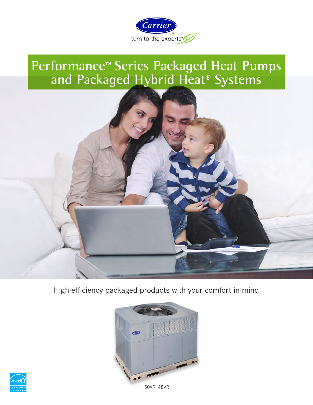

# **Performance™ Series Packaged Heat Pumps and Packaged Hybrid Heat® Systems**



High-efficiency packaged products with your comfort in mind





50VR, 48VR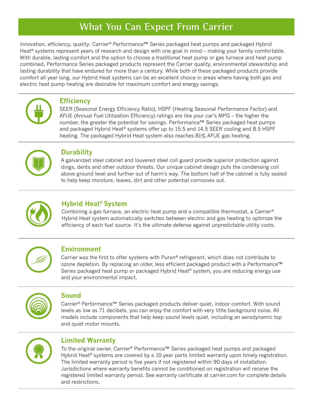## **What You Can Expect From Carrier**

Innovation, efficiency, quality: Carrier® Performance™ Series packaged heat pumps and packaged Hybrid Heat<sup>®</sup> systems represent years of research and design with one goal in mind – making your family comfortable. With durable, lasting comfort and the option to choose a traditional heat pump or gas furnace and heat pump combined, Performance Series packaged products represent the Carrier quality, environmental stewardship and lasting durability that have endured for more than a century. While both of these packaged products provide comfort all year long, our Hybrid Heat systems can be an excellent choice in areas where having both gas and electric heat pump heating are desirable for maximum comfort and energy savings.



#### **Efficiency**

SEER (Seasonal Energy Efficiency Ratio), HSPF (Heating Seasonal Performance Factor) and AFUE (Annual Fuel Utilization Efficiency) ratings are like your car's MPG – the higher the number, the greater the potential for savings. Performance™ Series packaged heat pumps and packaged Hybrid Heat® systems offer up to 15.5 and 14.5 SEER cooling and 8.5 HSPF heating. The packaged Hybrid Heat system also reaches 81% AFUE gas heating.



#### **Durability**

A galvanized steel cabinet and louvered steel coil guard provide superior protection against dings, dents and other outdoor threats. Our unique cabinet design puts the condensing coil above ground level and further out of harm's way. The bottom half of the cabinet is fully sealed to help keep moisture, leaves, dirt and other potential corrosives out.



### **Hybrid Heat® System**

Combining a gas furnace, an electric heat pump and a compatible thermostat, a Carrier® Hybrid Heat system automatically switches between electric and gas heating to optimize the efficiency of each fuel source. It's the ultimate defense against unpredictable utility costs.



#### **Environment**

Carrier was the first to offer systems with Puron<sup>®</sup> refrigerant, which does not contribute to ozone depletion. By replacing an older, less efficient packaged product with a Performance™ Series packaged heat pump or packaged Hybrid Heat® system, you are reducing energy use and your environmental impact.



#### **Sound**

Carrier® Performance™ Series packaged products deliver quiet, indoor comfort. With sound levels as low as 71 decibels, you can enjoy the comfort with very little background noise. All models include components that help keep sound levels quiet, including an aerodynamic top and quiet motor mounts.



### **Limited Warranty**

To the original owner, Carrier® Performance™ Series packaged heat pumps and packaged Hybrid Heat® systems are covered by a 10-year parts limited warranty upon timely registration. The limited warranty period is five years if not registered within 90 days of installation. Jurisdictions where warranty benefits cannot be conditioned on registration will receive the registered limited warranty period. See warranty certificate at carrier.com for complete details and restrictions.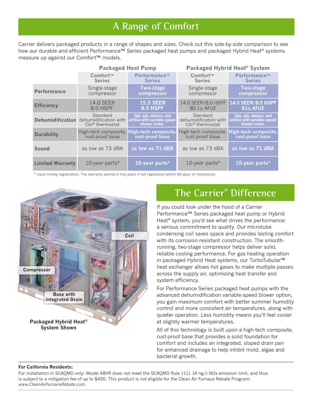## **A Range of Comfort**

Carrier delivers packaged products in a range of shapes and sizes. Check out this side-by-side comparison to see how our durable and efficient Performance™ Series packaged heat pumps and packaged Hybrid Heat® systems measure up against our Comfort™ models.

|                         | <b>Packaged Heat Pump</b>                                                         |                                                                     | <b>Packaged Hybrid Heat<sup>®</sup> System</b>                   |                                                                     |
|-------------------------|-----------------------------------------------------------------------------------|---------------------------------------------------------------------|------------------------------------------------------------------|---------------------------------------------------------------------|
|                         | Comfort™<br><b>Series</b>                                                         | Performance™<br><b>Series</b>                                       | Comfort™<br><b>Series</b>                                        | Performance™<br><b>Series</b>                                       |
| <b>Performance</b>      | Single-stage<br>compressor                                                        | <b>Two-stage</b><br>compressor                                      | Single-stage<br>compressor                                       | <b>Two-stage</b><br>compressor                                      |
| <b>Efficiency</b>       | <b>14.0 SEER</b><br>8.0 HSPF                                                      | <b>15.5 SEER</b><br><b>8.5 HSPF</b>                                 | 14.0 SEER/8.0 HSPF<br>80.1% AFUE                                 | 14.5 SEER/8.5 HSPF<br><b>81% AFUE</b>                               |
|                         | Standard<br>Dehumidification dehumidification with<br>Côr <sup>®</sup> thermostat | Opt. adv. dehum. and<br>airflow with variable-speed<br>blower motor | Standard<br>dehumidification with<br>Côr <sup>®</sup> thermostat | Opt. adv. dehum. and<br>airflow with variable-speed<br>blower motor |
| <b>Durability</b>       | High-tech composite, High-tech composite,<br>rust-proof base                      | rust-proof base                                                     | rust-proof base                                                  | High-tech composite, High-tech composite,<br>rust-proof base        |
| Sound                   | as low as 73 dBA                                                                  | as low as 71 dBA                                                    | as low as 73 dBA                                                 | as low as 71 dBA                                                    |
| <b>Limited Warranty</b> | 10-year parts $*$                                                                 | 10-year parts $*$                                                   | 10-year parts $*$                                                | 10-year parts*                                                      |

\* Upon timely registration. The warranty period is five years if not registered within 90 days of installation.



### **The Carrier® Difference**

If you could look under the hood of a Carrier Performance™ Series packaged heat pump or Hybrid Heat® system, you'd see what drives the performance: a serious commitment to quality. Our microtube condensing coil saves space and provides lasting comfort with its corrosion-resistant construction. The smoothrunning, two-stage compressor helps deliver solid, reliable cooling performance. For gas heating operation in packaged Hybrid Heat systems, our TurboTubular™ heat exchanger allows hot gases to make multiple passes across the supply air, optimizing heat transfer and system efficiency.

For Performance Series packaged heat pumps with the advanced dehumidification variable-speed blower option, you gain maximum comfort with better summer humidity control and more consistent air temperatures, along with quieter operation. Less humidity means you'll feel cooler at slightly warmer temperatures.

All of this technology is built upon a high-tech composite, rust-proof base that provides a solid foundation for comfort and includes an integrated, sloped drain pan for enhanced drainage to help inhibit mold, algae and bacterial growth.

#### **For California Residents:**

For installation in SCAQMD only: Model 48VR does not meet the SCAQMD Rule 1111 14 ng/J NOx emission limit, and thus is subject to a mitigation fee of up to \$450. This product is not eligible for the Clean Air Furnace Rebate Program: *www.CleanAirFurnaceRebate.com.*